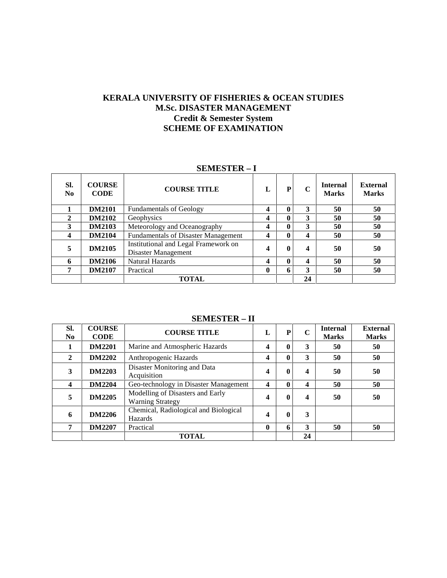## **KERALA UNIVERSITY OF FISHERIES & OCEAN STUDIES M.Sc. DISASTER MANAGEMENT Credit & Semester System SCHEME OF EXAMINATION**

#### **SEMESTER – I**

| SI.<br>N <sub>0</sub> | <b>COURSE</b><br><b>CODE</b> | <b>COURSE TITLE</b>                                         | L                       | P | C  | <b>Internal</b><br><b>Marks</b> | External<br><b>Marks</b> |
|-----------------------|------------------------------|-------------------------------------------------------------|-------------------------|---|----|---------------------------------|--------------------------|
|                       | <b>DM2101</b>                | <b>Fundamentals of Geology</b>                              | 4                       | 0 | 3  | 50                              | 50                       |
| $\mathbf{2}$          | <b>DM2102</b>                | Geophysics                                                  | 4                       | 0 | 3  | 50                              | 50                       |
| 3                     | <b>DM2103</b>                | Meteorology and Oceanography                                | 4                       | 0 | 3  | 50                              | 50                       |
| 4                     | <b>DM2104</b>                | <b>Fundamentals of Disaster Management</b>                  | $\boldsymbol{4}$        |   | 4  | 50                              | 50                       |
| 5                     | <b>DM2105</b>                | Institutional and Legal Framework on<br>Disaster Management | $\overline{\mathbf{4}}$ | 0 | 4  | 50                              | 50                       |
| 6                     | <b>DM2106</b>                | <b>Natural Hazards</b>                                      | 4                       | 0 | 4  | 50                              | 50                       |
| 7                     | <b>DM2107</b>                | Practical                                                   | 0                       | 6 | 3  | 50                              | 50                       |
|                       |                              | TOTAL                                                       |                         |   | 24 |                                 |                          |

#### **SEMESTER – II**

| SI.<br>N <sub>0</sub> | <b>COURSE</b><br><b>CODE</b> | <b>COURSE TITLE</b>                                         | L | P        | $\mathbf C$ | <b>Internal</b><br><b>Marks</b> | <b>External</b><br><b>Marks</b> |
|-----------------------|------------------------------|-------------------------------------------------------------|---|----------|-------------|---------------------------------|---------------------------------|
|                       | <b>DM2201</b>                | Marine and Atmospheric Hazards                              | 4 | 0        | 3           | 50                              | 50                              |
| $\mathbf{2}$          | <b>DM2202</b>                | Anthropogenic Hazards                                       | 4 | 0        | 3           | 50                              | 50                              |
| 3                     | <b>DM2203</b>                | Disaster Monitoring and Data<br>Acquisition                 | 4 | $\bf{0}$ | 4           | 50                              | 50                              |
| 4                     | <b>DM2204</b>                | Geo-technology in Disaster Management                       | 4 | 0        | 4           | 50                              | 50                              |
| 5                     | <b>DM2205</b>                | Modelling of Disasters and Early<br><b>Warning Strategy</b> | 4 | $\bf{0}$ | 4           | 50                              | 50                              |
| 6                     | <b>DM2206</b>                | Chemical, Radiological and Biological<br>Hazards            | 4 | 0        | 3           |                                 |                                 |
| 7                     | <b>DM2207</b>                | Practical                                                   | 0 | 6        | 3           | 50                              | 50                              |
|                       |                              | <b>TOTAL</b>                                                |   |          | 24          |                                 |                                 |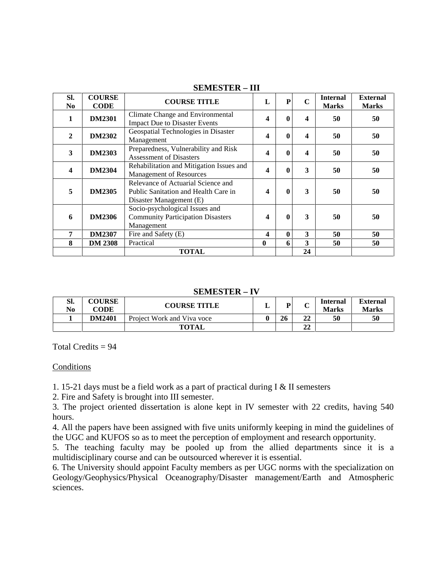| SI.<br>No.              | <b>COURSE</b><br><b>CODE</b> | <b>COURSE TITLE</b>                                                                                   | $\mathbf{L}$            | P            | $\mathbf C$             | <b>Internal</b><br><b>Marks</b> | <b>External</b><br><b>Marks</b> |
|-------------------------|------------------------------|-------------------------------------------------------------------------------------------------------|-------------------------|--------------|-------------------------|---------------------------------|---------------------------------|
| 1                       | <b>DM2301</b>                | Climate Change and Environmental<br><b>Impact Due to Disaster Events</b>                              | $\overline{\mathbf{4}}$ | 0            | $\overline{\mathbf{4}}$ | 50                              | 50                              |
| $\mathbf{2}$            | <b>DM2302</b>                | Geospatial Technologies in Disaster<br>Management                                                     | 4                       | 0            | $\overline{\mathbf{4}}$ | 50                              | 50                              |
| 3                       | <b>DM2303</b>                | Preparedness, Vulnerability and Risk<br><b>Assessment of Disasters</b>                                | 4                       | 0            | 4                       | 50                              | 50                              |
| $\overline{\mathbf{4}}$ | <b>DM2304</b>                | Rehabilitation and Mitigation Issues and<br><b>Management of Resources</b>                            | $\overline{\mathbf{4}}$ | 0            | 3                       | 50                              | 50                              |
| 5                       | <b>DM2305</b>                | Relevance of Actuarial Science and<br>Public Sanitation and Health Care in<br>Disaster Management (E) | $\boldsymbol{4}$        | 0            | 3                       | 50                              | 50                              |
| 6                       | <b>DM2306</b>                | Socio-psychological Issues and<br><b>Community Participation Disasters</b><br>Management              | 4                       | $\mathbf{0}$ | 3                       | 50                              | 50                              |
| $\overline{7}$          | <b>DM2307</b>                | Fire and Safety (E)                                                                                   | $\boldsymbol{4}$        | 0            | 3                       | 50                              | 50                              |
| 8                       | <b>DM 2308</b>               | Practical                                                                                             | $\mathbf{0}$            | 6            | 3                       | 50                              | 50                              |
|                         |                              | <b>TOTAL</b>                                                                                          |                         |              | 24                      |                                 |                                 |

## **SEMESTER – III**

### **SEMESTER – IV**

| Sl.<br>N <sub>0</sub> | <b>COURSE</b><br><b>CODE</b> | <b>COURSE TITLE</b>        | ┻ | D. | ັ  | <b>Internal</b><br><b>Marks</b> | <b>External</b><br><b>Marks</b> |
|-----------------------|------------------------------|----------------------------|---|----|----|---------------------------------|---------------------------------|
|                       | <b>DM2401</b>                | Project Work and Viva voce |   | 26 | 22 | 50                              | 50                              |
|                       |                              | <b>TOTAL</b>               |   |    | 22 |                                 |                                 |

Total Credits  $= 94$ 

#### Conditions

1. 15-21 days must be a field work as a part of practical during I & II semesters

2. Fire and Safety is brought into III semester.

3. The project oriented dissertation is alone kept in IV semester with 22 credits, having 540 hours.

4. All the papers have been assigned with five units uniformly keeping in mind the guidelines of the UGC and KUFOS so as to meet the perception of employment and research opportunity.

5. The teaching faculty may be pooled up from the allied departments since it is a multidisciplinary course and can be outsourced wherever it is essential.

6. The University should appoint Faculty members as per UGC norms with the specialization on Geology/Geophysics/Physical Oceanography/Disaster management/Earth and Atmospheric sciences.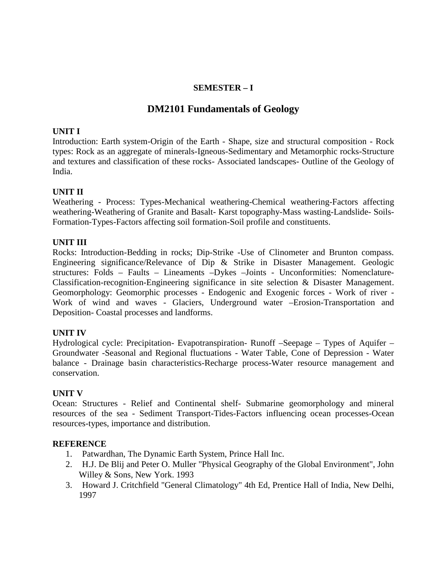## **SEMESTER – I**

# **DM2101 Fundamentals of Geology**

### **UNIT I**

Introduction: Earth system-Origin of the Earth - Shape, size and structural composition - Rock types: Rock as an aggregate of minerals-Igneous-Sedimentary and Metamorphic rocks-Structure and textures and classification of these rocks- Associated landscapes- Outline of the Geology of India.

## **UNIT II**

Weathering - Process: Types-Mechanical weathering-Chemical weathering-Factors affecting weathering-Weathering of Granite and Basalt- Karst topography-Mass wasting-Landslide- Soils- Formation-Types-Factors affecting soil formation-Soil profile and constituents.

#### **UNIT III**

Rocks: Introduction-Bedding in rocks; Dip-Strike -Use of Clinometer and Brunton compass. Engineering significance/Relevance of Dip & Strike in Disaster Management. Geologic structures: Folds – Faults – Lineaments –Dykes –Joints - Unconformities: Nomenclature- Classification-recognition-Engineering significance in site selection & Disaster Management. Geomorphology: Geomorphic processes - Endogenic and Exogenic forces - Work of river - Work of wind and waves - Glaciers, Underground water –Erosion-Transportation and Deposition- Coastal processes and landforms.

#### **UNIT IV**

Hydrological cycle: Precipitation- Evapotranspiration- Runoff –Seepage – Types of Aquifer – Groundwater -Seasonal and Regional fluctuations - Water Table, Cone of Depression - Water balance -Drainage basin characteristics-Recharge process-Water resource management and conservation.

#### **UNIT V**

Ocean: Structures - Relief and Continental shelf- Submarine geomorphology and mineral resources of the sea - Sediment Transport-Tides-Factors influencing ocean processes-Ocean resources-types, importance and distribution.

#### **REFERENCE**

- 1. Patwardhan, The Dynamic Earth System, Prince Hall Inc.
- 2. H.J. De Blij and Peter O. Muller "Physical Geography of the Global Environment", John Willey & Sons, New York. 1993
- 3. Howard J. Critchfield "General Climatology" 4th Ed, Prentice Hall of India, New Delhi, 1997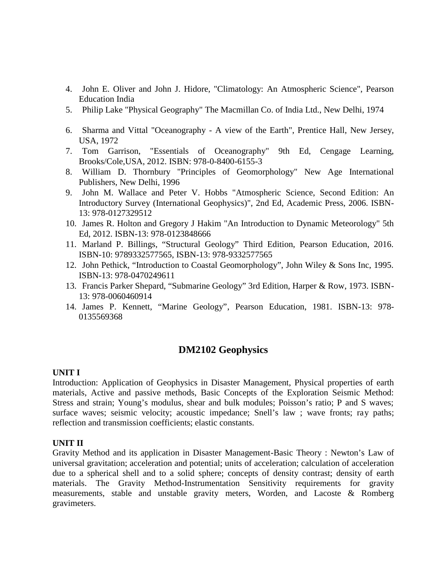- 4. John E. Oliver and John J. Hidore, "Climatology: An Atmospheric Science", Pearson Education India
- 5. Philip Lake "Physical Geography" The Macmillan Co. of India Ltd., New Delhi, 1974
- 6. Sharma and Vittal "Oceanography A view of the Earth", Prentice Hall, New Jersey, USA, 1972
- 7. Tom Garrison, "Essentials of Oceanography" 9th Ed, Cengage Learning, Brooks/Cole,USA, 2012. ISBN: 978-0-8400-6155-3
- 8. William D. Thornbury "Principles of Geomorphology" New Age International Publishers, New Delhi, 1996
- 9. John M. Wallace and Peter V. Hobbs "Atmospheric Science, Second Edition: An Introductory Survey (International Geophysics)", 2nd Ed, Academic Press, 2006. ISBN- 13: 978-0127329512
- 10. James R. Holton and Gregory J Hakim "An Introduction to Dynamic Meteorology" 5th Ed, 2012. ISBN-13: 978-0123848666
- 11. Marland P. Billings, "Structural Geology" Third Edition, Pearson Education, 2016. ISBN-10: 9789332577565, ISBN-13: 978-9332577565
- 12. John Pethick, "Introduction to Coastal Geomorphology", John Wiley & Sons Inc, 1995. ISBN-13: 978-0470249611
- 13. Francis Parker Shepard, "Submarine Geology" 3rd Edition, Harper & Row, 1973. ISBN- 13: 978-0060460914
- 14. James P. Kennett, "Marine Geology", Pearson Education, 1981. ISBN-13: 978- 0135569368

# **DM2102 Geophysics**

#### **UNIT I**

Introduction: Application of Geophysics in Disaster Management, Physical properties of earth materials, Active and passive methods, Basic Concepts of the Exploration Seismic Method: Stress and strain; Young's modulus, shear and bulk modules; Poisson's ratio; P and S waves; surface waves; seismic velocity; acoustic impedance; Snell's law ; wave fronts; ray paths; reflection and transmission coefficients; elastic constants.

#### **UNIT II**

Gravity Method and its application in Disaster Management-Basic Theory : Newton's Law of universal gravitation; acceleration and potential; units of acceleration; calculation of acceleration due to a spherical shell and to a solid sphere; concepts of density contrast; density of earth materials. The Gravity Method-Instrumentation Sensitivity requirements for gravity measurements, stable and unstable gravity meters, Worden, and Lacoste & Romberg gravimeters.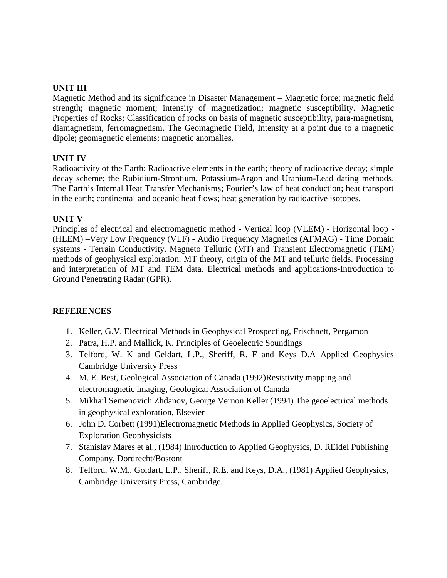## **UNIT III**

Magnetic Method and its significance in Disaster Management – Magnetic force; magnetic field strength; magnetic moment; intensity of magnetization; magnetic susceptibility. Magnetic Properties of Rocks; Classification of rocks on basis of magnetic susceptibility, para-magnetism, diamagnetism, ferromagnetism. The Geomagnetic Field, Intensity at a point due to a magnetic dipole; geomagnetic elements; magnetic anomalies.

## **UNIT IV**

Radioactivity of the Earth: Radioactive elements in the earth; theory of radioactive decay; simple decay scheme; the Rubidium-Strontium, Potassium-Argon and Uranium-Lead dating methods. The Earth's Internal Heat Transfer Mechanisms; Fourier's law of heat conduction; heat transport in the earth; continental and oceanic heat flows; heat generation by radioactive isotopes.

## **UNIT V**

Principles of electrical and electromagnetic method - Vertical loop (VLEM) - Horizontal loop - (HLEM) –Very Low Frequency (VLF) - Audio Frequency Magnetics (AFMAG) - Time Domain systems - Terrain Conductivity. Magneto Telluric (MT) and Transient Electromagnetic (TEM) methods of geophysical exploration. MT theory, origin of the MT and telluric fields. Processing and interpretation of MT and TEM data. Electrical methods and applications-Introduction to Ground Penetrating Radar (GPR).

#### **REFERENCES**

- 1. Keller, G.V. Electrical Methods in Geophysical Prospecting, Frischnett, Pergamon
- 2. Patra, H.P. and Mallick, K. Principles of Geoelectric Soundings
- 3. Telford, W. K and Geldart, L.P., Sheriff, R. F and Keys D.A Applied Geophysics Cambridge University Press
- 4. M. E. Best, Geological Association of Canada (1992)Resistivity mapping and electromagnetic imaging, Geological Association of Canada
- 5. Mikhail Semenovich Zhdanov, George Vernon Keller (1994) The geoelectrical methods in geophysical exploration, Elsevier
- 6. John D. Corbett (1991)Electromagnetic Methods in Applied Geophysics, Society of Exploration Geophysicists
- 7. Stanislav Mares et al., (1984) Introduction to Applied Geophysics, D. REidel Publishing Company, Dordrecht/Bostont
- 8. Telford, W.M., Goldart, L.P., Sheriff, R.E. and Keys, D.A., (1981) Applied Geophysics, Cambridge University Press, Cambridge.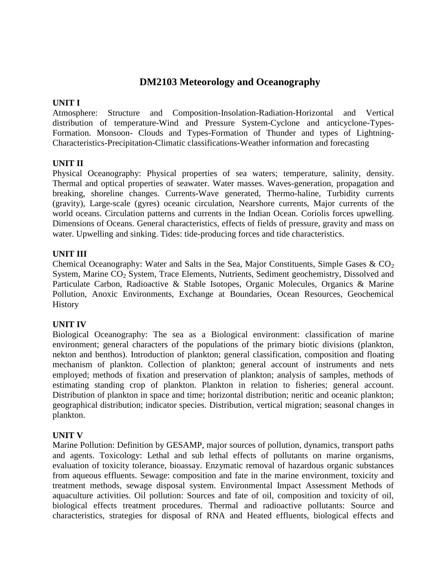# **DM2103 Meteorology and Oceanography**

### **UNIT I**

Atmosphere: Structure and Composition-Insolation-Radiation-Horizontal and Vertical distribution of temperature-Wind and Pressure System-Cyclone and anticyclone-Types- Formation. Monsoon- Clouds and Types-Formation of Thunder and types of Lightning- Characteristics-Precipitation-Climatic classifications-Weather information and forecasting

## **UNIT II**

Physical Oceanography: Physical properties of sea waters; temperature, salinity, density. Thermal and optical properties of seawater. Water masses. Waves-generation, propagation and breaking, shoreline changes. Currents-Wave generated, Thermo-haline, Turbidity currents (gravity), Large-scale (gyres) oceanic circulation, Nearshore currents, Major currents of the world oceans. Circulation patterns and currents in the Indian Ocean. Coriolis forces upwelling. Dimensions of Oceans. General characteristics, effects of fields of pressure, gravity and mass on water. Upwelling and sinking. Tides: tide-producing forces and tide characteristics.

## **UNIT III**

Chemical Oceanography: Water and Salts in the Sea, Major Constituents, Simple Gases  $& CO<sub>2</sub>$ System, Marine CO<sub>2</sub> System, Trace Elements, Nutrients, Sediment geochemistry, Dissolved and Particulate Carbon, Radioactive & Stable Isotopes, Organic Molecules, Organics & Marine Pollution, Anoxic Environments, Exchange at Boundaries, Ocean Resources, Geochemical **History** 

#### **UNIT IV**

Biological Oceanography: The sea as a Biological environment: classification of marine environment; general characters of the populations of the primary biotic divisions (plankton, nekton and benthos). Introduction of plankton; general classification, composition and floating mechanism of plankton. Collection of plankton; general account of instruments and nets employed; methods of fixation and preservation of plankton; analysis of samples, methods of estimating standing crop of plankton. Plankton in relation to fisheries; general account. Distribution of plankton in space and time; horizontal distribution; neritic and oceanic plankton; geographical distribution; indicator species. Distribution, vertical migration; seasonal changes in plankton.

#### **UNIT V**

Marine Pollution: Definition by GESAMP, major sources of pollution, dynamics, transport paths and agents. Toxicology: Lethal and sub lethal effects of pollutants on marine organisms, evaluation of toxicity tolerance, bioassay. Enzymatic removal of hazardous organic substances from aqueous effluents. Sewage: composition and fate in the marine environment, toxicity and treatment methods, sewage disposal system. Environmental Impact Assessment Methods of aquaculture activities. Oil pollution: Sources and fate of oil, composition and toxicity of oil, biological effects treatment procedures. Thermal and radioactive pollutants: Source and characteristics, strategies for disposal of RNA and Heated effluents, biological effects and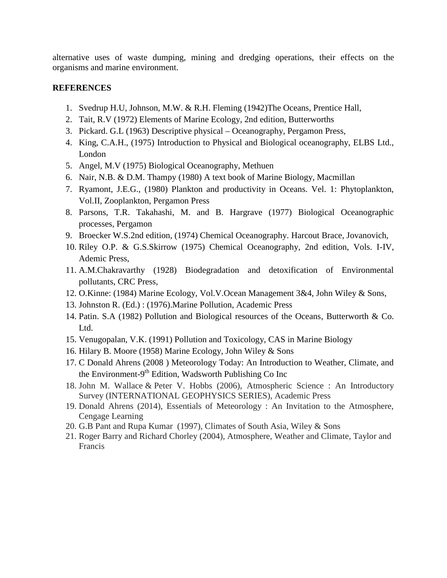alternative uses of waste dumping, mining and dredging operations, their effects on the organisms and marine environment.

## **REFERENCES**

- 1. Svedrup H.U, Johnson, M.W. & R.H. Fleming (1942)The Oceans, Prentice Hall,
- 2. Tait, R.V (1972) Elements of Marine Ecology, 2nd edition, Butterworths
- 3. Pickard. G.L (1963) Descriptive physical Oceanography, Pergamon Press,
- 4. King, C.A.H., (1975) Introduction to Physical and Biological oceanography, ELBS Ltd., London
- 5. Angel, M.V (1975) Biological Oceanography, Methuen
- 6. Nair, N.B. & D.M. Thampy (1980) A text book of Marine Biology, Macmillan
- 7. Ryamont, J.E.G., (1980) Plankton and productivity in Oceans. Vel. 1: Phytoplankton, Vol.II, Zooplankton, Pergamon Press
- 8. Parsons, T.R. Takahashi, M. and B. Hargrave (1977) Biological Oceanographic processes, Pergamon
- 9. Broecker W.S.2nd edition, (1974) Chemical Oceanography. Harcout Brace, Jovanovich,
- 10. Riley O.P. & G.S.Skirrow (1975) Chemical Oceanography, 2nd edition, Vols. I-IV, Ademic Press,
- 11. A.M.Chakravarthy (1928) Biodegradation and detoxification of Environmental pollutants, CRC Press,
- 12. O.Kinne: (1984) Marine Ecology, Vol.V.Ocean Management 3&4, John Wiley & Sons,
- 13. Johnston R. (Ed.) : (1976).Marine Pollution, Academic Press
- 14. Patin. S.A (1982) Pollution and Biological resources of the Oceans, Butterworth & Co. Ltd.
- 15. Venugopalan, V.K. (1991) Pollution and Toxicology, CAS in Marine Biology
- 16. Hilary B. Moore (1958) Marine Ecology, John Wiley & Sons
- 17. C Donald Ahrens (2008 ) Meteorology Today: An Introduction to Weather, Climate, and the Environment-9<sup>th</sup> Edition, Wadsworth Publishing Co Inc
- 18. John M. Wallace & Peter V. Hobbs (2006), Atmospheric Science : An Introductory Survey (INTERNATIONAL GEOPHYSICS SERIES), Academic Press
- 19. Donald Ahrens (2014), Essentials of Meteorology : An Invitation to the Atmosphere, Cengage Learning
- 20. G.B Pant and Rupa Kumar (1997), Climates of South Asia, Wiley & Sons
- 21. Roger Barry and Richard Chorley (2004), Atmosphere, Weather and Climate, Taylor and Francis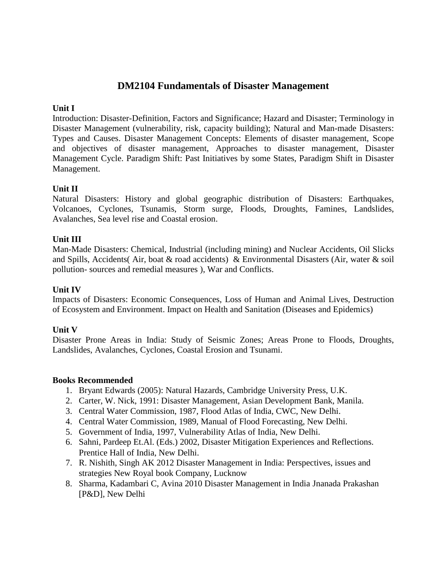# **DM2104 Fundamentals of Disaster Management**

## **Unit I**

Introduction: Disaster-Definition, Factors and Significance; Hazard and Disaster; Terminology in Disaster Management (vulnerability, risk, capacity building); Natural and Man-made Disasters: Types and Causes. Disaster Management Concepts: Elements of disaster management, Scope and objectives of disaster management, Approaches to disaster management, Disaster Management Cycle. Paradigm Shift: Past Initiatives by some States, Paradigm Shift in Disaster Management.

## **Unit II**

Natural Disasters: History and global geographic distribution of Disasters: Earthquakes, Volcanoes, Cyclones, Tsunamis, Storm surge, Floods, Droughts, Famines, Landslides, Avalanches, Sea level rise and Coastal erosion.

## **Unit III**

Man-Made Disasters: Chemical, Industrial (including mining) and Nuclear Accidents, Oil Slicks and Spills, Accidents( Air, boat & road accidents) & Environmental Disasters (Air, water & soil pollution- sources and remedial measures ), War and Conflicts.

## **Unit IV**

Impacts of Disasters: Economic Consequences, Loss of Human and Animal Lives, Destruction of Ecosystem and Environment. Impact on Health and Sanitation (Diseases and Epidemics)

## **Unit V**

Disaster Prone Areas in India: Study of Seismic Zones; Areas Prone to Floods, Droughts, Landslides, Avalanches, Cyclones, Coastal Erosion and Tsunami.

#### **Books Recommended**

- 1. Bryant Edwards (2005): Natural Hazards, Cambridge University Press, U.K.
- 2. Carter, W. Nick, 1991: Disaster Management, Asian Development Bank, Manila.
- 3. Central Water Commission, 1987, Flood Atlas of India, CWC, New Delhi.
- 4. Central Water Commission, 1989, Manual of Flood Forecasting, New Delhi.
- 5. Government of India, 1997, Vulnerability Atlas of India, New Delhi.
- 6. Sahni, Pardeep Et.Al. (Eds.) 2002, Disaster Mitigation Experiences and Reflections. Prentice Hall of India, New Delhi.
- 7. R. Nishith, Singh AK 2012 Disaster Management in India: Perspectives, issues and strategies New Royal book Company, Lucknow
- 8. Sharma, Kadambari C, Avina 2010 Disaster Management in India Jnanada Prakashan [P&D], New Delhi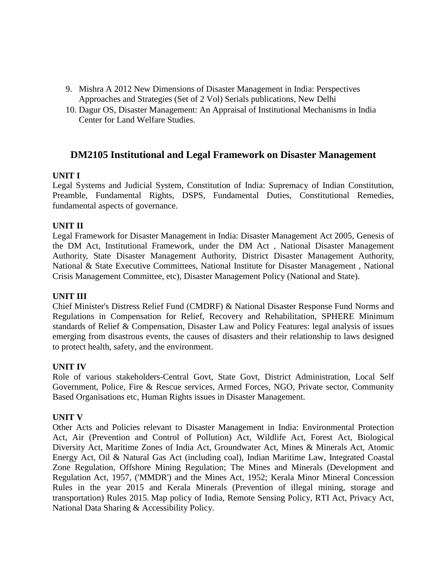- 9. Mishra A 2012 New Dimensions of Disaster Management in India: Perspectives Approaches and Strategies (Set of 2 Vol) Serials publications, New Delhi
- 10. Dagur OS, Disaster Management: An Appraisal of Institutional Mechanisms in India Center for Land Welfare Studies.

# **DM2105 Institutional and Legal Framework on Disaster Management**

## **UNIT I**

Legal Systems and Judicial System, Constitution of India: Supremacy of Indian Constitution, Preamble, Fundamental Rights, DSPS, Fundamental Duties, Constitutional Remedies, fundamental aspects of governance.

## **UNIT II**

Legal Framework for Disaster Management in India: Disaster Management Act 2005, Genesis of the DM Act, Institutional Framework, under the DM Act , National Disaster Management Authority, State Disaster Management Authority, District Disaster Management Authority, National & State Executive Committees, National Institute for Disaster Management , National Crisis Management Committee, etc), Disaster Management Policy (National and State).

#### **UNIT III**

Chief Minister's Distress Relief Fund (CMDRF) & National Disaster Response Fund Norms and Regulations in Compensation for Relief, Recovery and Rehabilitation, SPHERE Minimum standards of Relief & Compensation, Disaster Law and Policy Features: legal analysis of issues emerging from disastrous events, the causes of disasters and their relationship to laws designed to protect health, safety, and the environment.

#### **UNIT IV**

Role of various stakeholders-Central Govt, State Govt, District Administration, Local Self Government, Police, Fire & Rescue services, Armed Forces, NGO, Private sector, Community Based Organisations etc, Human Rights issues in Disaster Management.

#### **UNIT V**

Other Acts and Policies relevant to Disaster Management in India: Environmental Protection Act, Air (Prevention and Control of Pollution) Act, Wildlife Act, Forest Act, Biological Diversity Act, Maritime Zones of India Act, Groundwater Act, Mines & Minerals Act, Atomic Energy Act, Oil & Natural Gas Act (including coal), Indian Maritime Law, Integrated Coastal Zone Regulation, Offshore Mining Regulation; The Mines and Minerals (Development and Regulation Act, 1957, ('MMDR') and the Mines Act, 1952; Kerala Minor Mineral Concession Rules in the year 2015 and Kerala Minerals (Prevention of illegal mining, storage and transportation) Rules 2015**.** Map policy of India, Remote Sensing Policy, RTI Act, Privacy Act, National Data Sharing & Accessibility Policy.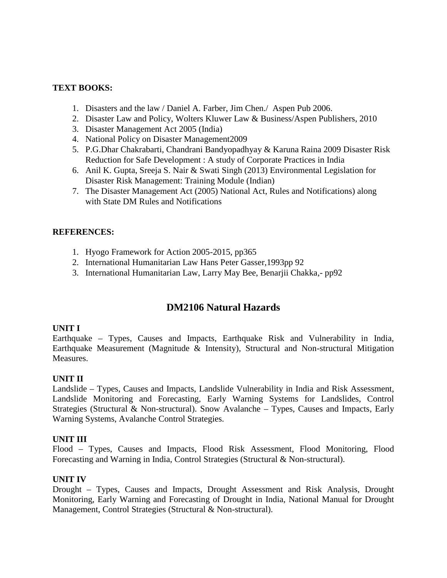## **TEXT BOOKS:**

- 1. Disasters and the law / Daniel A. Farber, Jim Chen./ Aspen Pub 2006.
- 2. Disaster Law and Policy, Wolters Kluwer Law & Business/Aspen Publishers, 2010
- 3. Disaster Management Act 2005 (India)
- 4. National Policy on Disaster Management2009
- 5. P.G.Dhar Chakrabarti, Chandrani Bandyopadhyay & Karuna Raina 2009 Disaster Risk Reduction for Safe Development : A study of Corporate Practices in India
- 6. Anil K. Gupta, Sreeja S. Nair & Swati Singh (2013) Environmental Legislation for Disaster Risk Management: Training Module (Indian)
- 7. The Disaster Management Act (2005) National Act, Rules and Notifications) along with State DM Rules and Notifications

## **REFERENCES:**

- 1. Hyogo Framework for Action 2005-2015, pp365
- 2. International Humanitarian Law Hans Peter Gasser,1993pp 92
- 3. International Humanitarian Law, Larry May Bee, Benarjii Chakka,- pp92

# **DM2106 Natural Hazards**

#### **UNIT I**

Earthquake – Types, Causes and Impacts, Earthquake Risk and Vulnerability in India, Earthquake Measurement (Magnitude & Intensity), Structural and Non-structural Mitigation Measures.

#### **UNIT II**

Landslide – Types, Causes and Impacts, Landslide Vulnerability in India and Risk Assessment, Landslide Monitoring and Forecasting, Early Warning Systems for Landslides, Control Strategies (Structural & Non-structural). Snow Avalanche – Types, Causes and Impacts, Early Warning Systems, Avalanche Control Strategies.

#### **UNIT III**

Flood – Types, Causes and Impacts, Flood Risk Assessment, Flood Monitoring, Flood Forecasting and Warning in India, Control Strategies (Structural & Non-structural).

#### **UNIT IV**

Drought – Types, Causes and Impacts, Drought Assessment and Risk Analysis, Drought Monitoring, Early Warning and Forecasting of Drought in India, National Manual for Drought Management, Control Strategies (Structural & Non-structural).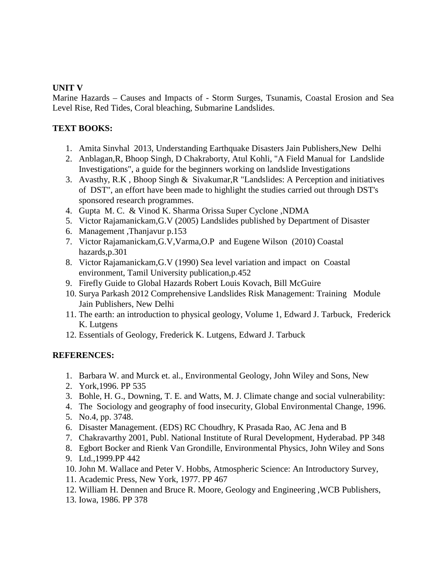## **UNIT V**

Marine Hazards – Causes and Impacts of - Storm Surges, Tsunamis, Coastal Erosion and Sea Level Rise, Red Tides, Coral bleaching, Submarine Landslides.

## **TEXT BOOKS:**

- 1. Amita Sinvhal 2013, Understanding Earthquake Disasters Jain Publishers,New Delhi
- 2. Anblagan,R, Bhoop Singh, D Chakraborty, Atul Kohli, "A Field Manual for Landslide Investigations", a guide for the beginners working on landslide Investigations
- 3. Avasthy, R.K , Bhoop Singh & Sivakumar,R "Landslides: A Perception and initiatives of DST", an effort have been made to highlight the studies carried out through DST's sponsored research programmes.
- 4. Gupta M. C. & Vinod K. Sharma Orissa Super Cyclone ,NDMA
- 5. Victor Rajamanickam,G.V (2005) Landslides published by Department of Disaster
- 6. Management ,Thanjavur p.153
- 7. Victor Rajamanickam,G.V,Varma,O.P and Eugene Wilson (2010) Coastal hazards,p.301
- 8. Victor Rajamanickam,G.V (1990) Sea level variation and impact on Coastal environment, Tamil University publication,p.452
- 9. Firefly Guide to Global Hazards Robert Louis Kovach, Bill McGuire
- 10. Surya Parkash 2012 Comprehensive Landslides Risk Management: Training Module Jain Publishers, New Delhi
- 11. The earth: an introduction to physical geology, Volume 1, Edward J. Tarbuck, Frederick K. Lutgens
- 12. Essentials of Geology, Frederick K. Lutgens, Edward J. Tarbuck

# **REFERENCES:**

- 1. Barbara W. and Murck et. al., Environmental Geology, John Wiley and Sons, New
- 2. York,1996. PP 535
- 3. Bohle, H. G., Downing, T. E. and Watts, M. J. Climate change and social vulnerability:
- 4. The Sociology and geography of food insecurity, Global Environmental Change, 1996.
- 5. No.4, pp. 3748.
- 6. Disaster Management. (EDS) RC Choudhry, K Prasada Rao, AC Jena and B
- 7. Chakravarthy 2001, Publ. National Institute of Rural Development, Hyderabad. PP 348
- 8. Egbort Bocker and Rienk Van Grondille, Environmental Physics, John Wiley and Sons
- 9. Ltd.,1999.PP 442
- 10. John M. Wallace and Peter V. Hobbs, Atmospheric Science: An Introductory Survey,
- 11. Academic Press, New York, 1977. PP 467
- 12. William H. Dennen and Bruce R. Moore, Geology and Engineering ,WCB Publishers,
- 13. Iowa, 1986. PP 378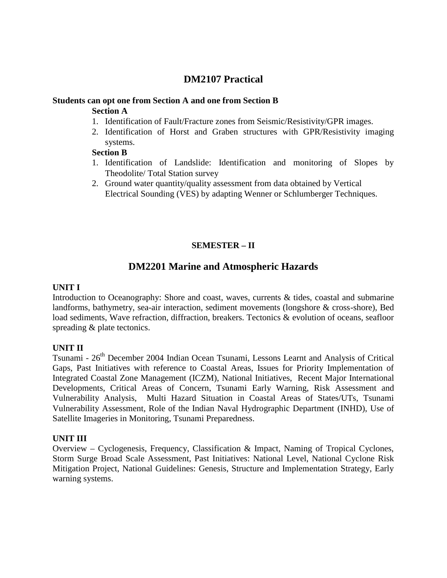# **DM2107 Practical**

## **Students can opt one from Section A and one from Section B Section A**

- 1. Identification of Fault/Fracture zones from Seismic/Resistivity/GPR images.
- 2. Identification of Horst and Graben structures with GPR/Resistivity imaging systems.

## **Section B**

- 1. Identification of Landslide: Identification and monitoring of Slopes by Theodolite/ Total Station survey
- 2. Ground water quantity/quality assessment from data obtained by Vertical Electrical Sounding (VES) by adapting Wenner or Schlumberger Techniques.

## **SEMESTER – II**

# **DM2201 Marine and Atmospheric Hazards**

## **UNIT I**

Introduction to Oceanography: Shore and coast, waves, currents & tides, coastal and submarine landforms, bathymetry, sea-air interaction, sediment movements (longshore & cross-shore), Bed load sediments, Wave refraction, diffraction, breakers. Tectonics & evolution of oceans, seafloor spreading & plate tectonics.

## **UNIT II**

Tsunami - 26th December 2004 Indian Ocean Tsunami, Lessons Learnt and Analysis of Critical Gaps, Past Initiatives with reference to Coastal Areas, Issues for Priority Implementation of Integrated Coastal Zone Management (ICZM), National Initiatives, Recent Major International Developments, Critical Areas of Concern, Tsunami Early Warning, Risk Assessment and Vulnerability Analysis, Multi Hazard Situation in Coastal Areas of States/UTs, Tsunami Vulnerability Assessment, Role of the Indian Naval Hydrographic Department (INHD), Use of Satellite Imageries in Monitoring, Tsunami Preparedness.

#### **UNIT III**

Overview – Cyclogenesis, Frequency, Classification & Impact, Naming of Tropical Cyclones, Storm Surge Broad Scale Assessment, Past Initiatives: National Level, National Cyclone Risk Mitigation Project, National Guidelines: Genesis, Structure and Implementation Strategy, Early warning systems.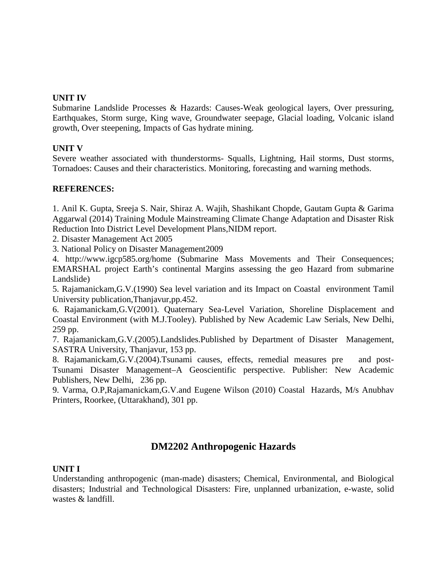#### **UNIT IV**

Submarine Landslide Processes & Hazards: Causes-Weak geological layers, Over pressuring, Earthquakes, Storm surge, King wave, Groundwater seepage, Glacial loading, Volcanic island growth, Over steepening, Impacts of Gas hydrate mining.

## **UNIT V**

Severe weather associated with thunderstorms- Squalls, Lightning, Hail storms, Dust storms, Tornadoes: Causes and their characteristics. Monitoring, forecasting and warning methods.

## **REFERENCES:**

1. Anil K. Gupta, Sreeja S. Nair, Shiraz A. Wajih, Shashikant Chopde, Gautam Gupta & Garima Aggarwal (2014) Training Module Mainstreaming Climate Change Adaptation and Disaster Risk Reduction Into District Level Development Plans,NIDM report.

2. Disaster Management Act 2005

3. National Policy on Disaster Management2009

4. http://www.igcp585.org/home (Submarine Mass Movements and Their Consequences; EMARSHAL project Earth's continental Margins assessing the geo Hazard from submarine Landslide)

5. Rajamanickam,G.V.(1990) Sea level variation and its Impact on Coastal environment Tamil University publication,Thanjavur,pp.452.

6. Rajamanickam,G.V(2001). Quaternary Sea-Level Variation, Shoreline Displacement and Coastal Environment (with M.J.Tooley). Published by New Academic Law Serials, New Delhi, 259 pp.

7. Rajamanickam,G.V.(2005).Landslides.Published by Department of Disaster Management, SASTRA University, Thanjavur, 153 pp.

8. Rajamanickam,G.V.(2004).Tsunami causes, effects, remedial measures pre and post- Tsunami Disaster Management–A Geoscientific perspective. Publisher: New Academic Publishers, New Delhi, 236 pp.

9. Varma, O.P,Rajamanickam,G.V.and Eugene Wilson (2010) Coastal Hazards, M/s Anubhav Printers, Roorkee, (Uttarakhand), 301 pp.

# **DM2202 Anthropogenic Hazards**

#### **UNIT I**

Understanding anthropogenic (man-made) disasters; Chemical, Environmental, and Biological disasters; Industrial and Technological Disasters: Fire, unplanned urbanization, e-waste, solid wastes & landfill.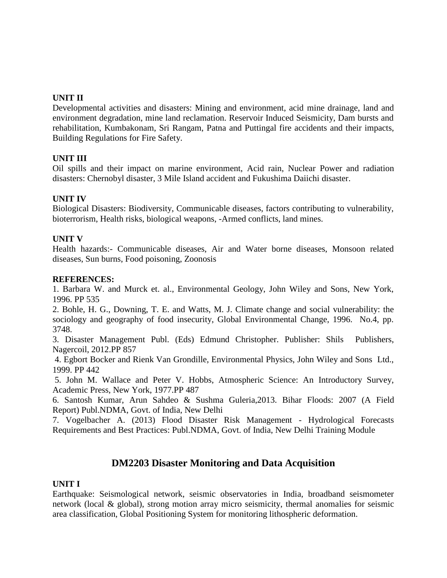## **UNIT II**

Developmental activities and disasters: Mining and environment, acid mine drainage, land and environment degradation, mine land reclamation. Reservoir Induced Seismicity, Dam bursts and rehabilitation, Kumbakonam, Sri Rangam, Patna and Puttingal fire accidents and their impacts, Building Regulations for Fire Safety.

#### **UNIT III**

Oil spills and their impact on marine environment, Acid rain, Nuclear Power and radiation disasters: Chernobyl disaster, 3 Mile Island accident and Fukushima Daiichi disaster.

#### **UNIT IV**

Biological Disasters: Biodiversity, Communicable diseases, factors contributing to vulnerability, bioterrorism, Health risks, biological weapons, -Armed conflicts, land mines.

#### **UNIT V**

Health hazards:- Communicable diseases, Air and Water borne diseases, Monsoon related diseases, Sun burns, Food poisoning, Zoonosis

#### **REFERENCES:**

1. Barbara W. and Murck et. al., Environmental Geology, John Wiley and Sons, New York, 1996. PP 535

2. Bohle, H. G., Downing, T. E. and Watts, M. J. Climate change and social vulnerability: the sociology and geography of food insecurity, Global Environmental Change, 1996. No.4, pp. 3748.

3. Disaster Management Publ. (Eds) Edmund Christopher. Publisher: Shils Publishers, Nagercoil, 2012.PP 857

4. Egbort Bocker and Rienk Van Grondille, Environmental Physics, John Wiley and Sons Ltd., 1999. PP 442

5. John M. Wallace and Peter V. Hobbs, Atmospheric Science: An Introductory Survey, Academic Press, New York, 1977.PP 487

6. Santosh Kumar, Arun Sahdeo & Sushma Guleria,2013. Bihar Floods: 2007 (A Field Report) Publ.NDMA, Govt. of India, New Delhi

7. Vogelbacher A. (2013) Flood Disaster Risk Management - Hydrological Forecasts Requirements and Best Practices: Publ.NDMA, Govt. of India, New Delhi Training Module

## **DM2203 Disaster Monitoring and Data Acquisition**

#### **UNIT I**

Earthquake: Seismological network, seismic observatories in India, broadband seismometer network (local & global), strong motion array micro seismicity, thermal anomalies for seismic area classification, Global Positioning System for monitoring lithospheric deformation.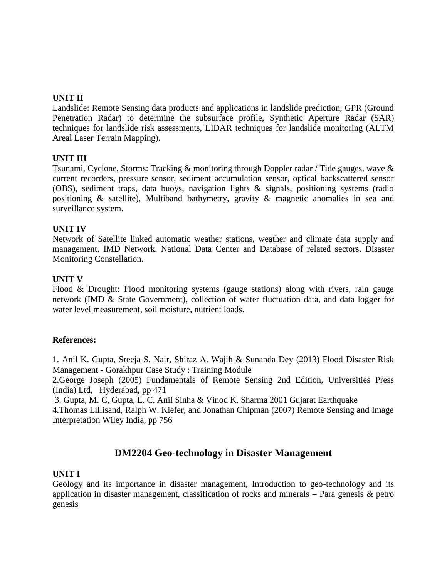## **UNIT II**

Landslide: Remote Sensing data products and applications in landslide prediction, GPR (Ground Penetration Radar) to determine the subsurface profile, Synthetic Aperture Radar (SAR) techniques for landslide risk assessments, LIDAR techniques for landslide monitoring (ALTM Areal Laser Terrain Mapping).

#### **UNIT III**

Tsunami, Cyclone, Storms: Tracking & monitoring through Doppler radar / Tide gauges, wave & current recorders, pressure sensor, sediment accumulation sensor, optical backscattered sensor (OBS), sediment traps, data buoys, navigation lights & signals, positioning systems (radio positioning & satellite), Multiband bathymetry, gravity & magnetic anomalies in sea and surveillance system.

#### **UNIT IV**

Network of Satellite linked automatic weather stations, weather and climate data supply and management. IMD Network. National Data Center and Database of related sectors. Disaster Monitoring Constellation.

#### **UNIT V**

Flood & Drought: Flood monitoring systems (gauge stations) along with rivers, rain gauge network (IMD & State Government), collection of water fluctuation data, and data logger for water level measurement, soil moisture, nutrient loads.

#### **References:**

1. Anil K. Gupta, Sreeja S. Nair, Shiraz A. Wajih & Sunanda Dey (2013) Flood Disaster Risk Management - Gorakhpur Case Study : Training Module

2.George Joseph (2005) Fundamentals of Remote Sensing 2nd Edition, Universities Press (India) Ltd, Hyderabad, pp 471

3. Gupta, M. C, Gupta, L. C. Anil Sinha & Vinod K. Sharma 2001 Gujarat Earthquake 4.Thomas Lillisand, Ralph W. Kiefer, and Jonathan Chipman (2007) Remote Sensing and Image Interpretation Wiley India, pp 756

# **DM2204 Geo-technology in Disaster Management**

#### **UNIT I**

Geology and its importance in disaster management, Introduction to geo-technology and its application in disaster management, classification of rocks and minerals – Para genesis & petro genesis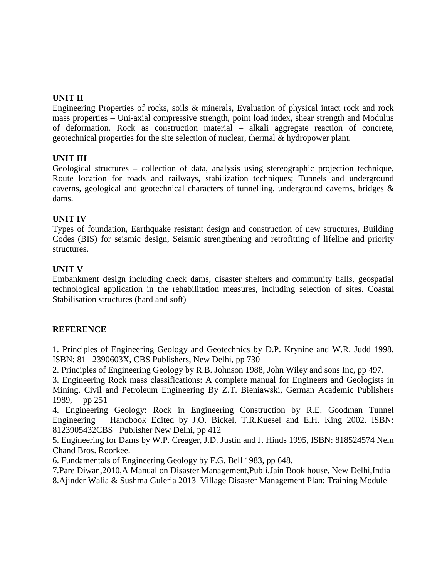## **UNIT II**

Engineering Properties of rocks, soils & minerals, Evaluation of physical intact rock and rock mass properties – Uni-axial compressive strength, point load index, shear strength and Modulus of deformation. Rock as construction material – alkali aggregate reaction of concrete, geotechnical properties for the site selection of nuclear, thermal & hydropower plant.

## **UNIT III**

Geological structures – collection of data, analysis using stereographic projection technique, Route location for roads and railways, stabilization techniques; Tunnels and underground caverns, geological and geotechnical characters of tunnelling, underground caverns, bridges & dams.

## **UNIT IV**

Types of foundation, Earthquake resistant design and construction of new structures, Building Codes (BIS) for seismic design, Seismic strengthening and retrofitting of lifeline and priority structures.

## **UNIT V**

Embankment design including check dams, disaster shelters and community halls, geospatial technological application in the rehabilitation measures, including selection of sites. Coastal Stabilisation structures (hard and soft)

#### **REFERENCE**

1. Principles of Engineering Geology and Geotechnics by D.P. Krynine and W.R. Judd 1998, ISBN: 81 2390603X, CBS Publishers, New Delhi, pp 730

2. Principles of Engineering Geology by R.B. Johnson 1988, John Wiley and sons Inc, pp 497.

3. Engineering Rock mass classifications: A complete manual for Engineers and Geologists in Mining. Civil and Petroleum Engineering By Z.T. Bieniawski, German Academic Publishers 1989, pp 251

4. Engineering Geology: Rock in Engineering Construction by R.E. Goodman Tunnel Engineering Handbook Edited by J.O. Bickel, T.R.Kuesel and E.H. King 2002. ISBN: 8123905432CBS Publisher New Delhi, pp 412

5. Engineering for Dams by W.P. Creager, J.D. Justin and J. Hinds 1995, ISBN: 818524574 Nem Chand Bros. Roorkee.

6. Fundamentals of Engineering Geology by F.G. Bell 1983, pp 648.

7.Pare Diwan,2010,A Manual on Disaster Management,Publi.Jain Book house, New Delhi,India 8.Ajinder Walia & Sushma Guleria 2013 Village Disaster Management Plan: Training Module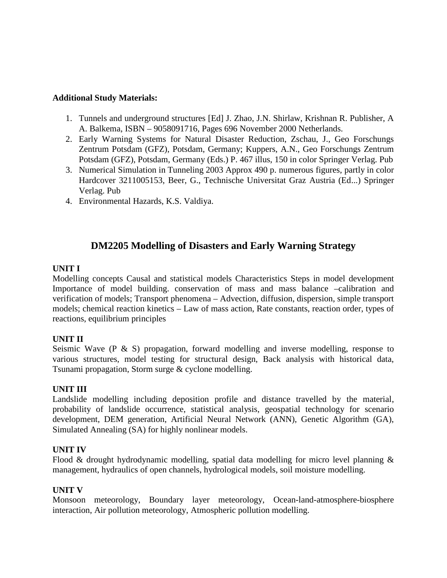#### **Additional Study Materials:**

- 1. Tunnels and underground structures [Ed] J. Zhao, J.N. Shirlaw, Krishnan R. Publisher, A A. Balkema, ISBN – 9058091716, Pages 696 November 2000 Netherlands.
- 2. Early Warning Systems for Natural Disaster Reduction, Zschau, J., Geo Forschungs Zentrum Potsdam (GFZ), Potsdam, Germany; Kuppers, A.N., Geo Forschungs Zentrum Potsdam (GFZ), Potsdam, Germany (Eds.) P. 467 illus, 150 in color Springer Verlag. Pub
- 3. Numerical Simulation in Tunneling 2003 Approx 490 p. numerous figures, partly in color Hardcover 3211005153, Beer, G., Technische Universitat Graz Austria (Ed...) Springer Verlag. Pub
- 4. Environmental Hazards, K.S. Valdiya.

# **DM2205 Modelling of Disasters and Early Warning Strategy**

## **UNIT I**

Modelling concepts Causal and statistical models Characteristics Steps in model development Importance of model building. conservation of mass and mass balance –calibration and verification of models; Transport phenomena – Advection, diffusion, dispersion, simple transport models; chemical reaction kinetics – Law of mass action, Rate constants, reaction order, types of reactions, equilibrium principles

## **UNIT II**

Seismic Wave  $(P \& S)$  propagation, forward modelling and inverse modelling, response to various structures, model testing for structural design, Back analysis with historical data, Tsunami propagation, Storm surge & cyclone modelling.

## **UNIT III**

Landslide modelling including deposition profile and distance travelled by the material, probability of landslide occurrence, statistical analysis, geospatial technology for scenario development, DEM generation, Artificial Neural Network (ANN), Genetic Algorithm (GA), Simulated Annealing (SA) for highly nonlinear models.

## **UNIT IV**

Flood & drought hydrodynamic modelling, spatial data modelling for micro level planning & management, hydraulics of open channels, hydrological models, soil moisture modelling.

#### **UNIT V**

Monsoon meteorology, Boundary layer meteorology, Ocean-land-atmosphere-biosphere interaction, Air pollution meteorology, Atmospheric pollution modelling.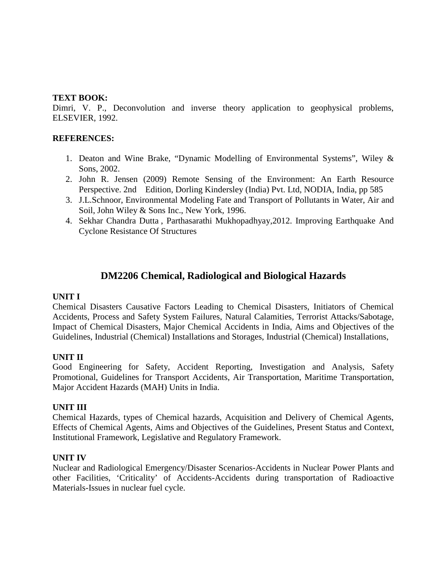#### **TEXT BOOK:**

Dimri, V. P., Deconvolution and inverse theory application to geophysical problems, ELSEVIER, 1992.

## **REFERENCES:**

- 1. Deaton and Wine Brake, "Dynamic Modelling of Environmental Systems", Wiley & Sons, 2002.
- 2. John R. Jensen (2009) Remote Sensing of the Environment: An Earth Resource Perspective. 2nd Edition, Dorling Kindersley (India) Pvt. Ltd, NODIA, India, pp 585
- 3. J.L.Schnoor, Environmental Modeling Fate and Transport of Pollutants in Water, Air and Soil, John Wiley & Sons Inc., New York, 1996.
- 4. Sekhar Chandra Dutta , Parthasarathi Mukhopadhyay,2012. Improving Earthquake And Cyclone Resistance Of Structures

# **DM2206 Chemical, Radiological and Biological Hazards**

#### **UNIT I**

Chemical Disasters Causative Factors Leading to Chemical Disasters, Initiators of Chemical Accidents, Process and Safety System Failures, Natural Calamities, Terrorist Attacks/Sabotage, Impact of Chemical Disasters, Major Chemical Accidents in India, Aims and Objectives of the Guidelines, Industrial (Chemical) Installations and Storages, Industrial (Chemical) Installations,

#### **UNIT II**

Good Engineering for Safety, Accident Reporting, Investigation and Analysis, Safety Promotional, Guidelines for Transport Accidents, Air Transportation, Maritime Transportation, Major Accident Hazards (MAH) Units in India.

#### **UNIT III**

Chemical Hazards, types of Chemical hazards, Acquisition and Delivery of Chemical Agents, Effects of Chemical Agents, Aims and Objectives of the Guidelines, Present Status and Context, Institutional Framework, Legislative and Regulatory Framework.

#### **UNIT IV**

Nuclear and Radiological Emergency/Disaster Scenarios-Accidents in Nuclear Power Plants and other Facilities, 'Criticality' of Accidents-Accidents during transportation of Radioactive Materials-Issues in nuclear fuel cycle.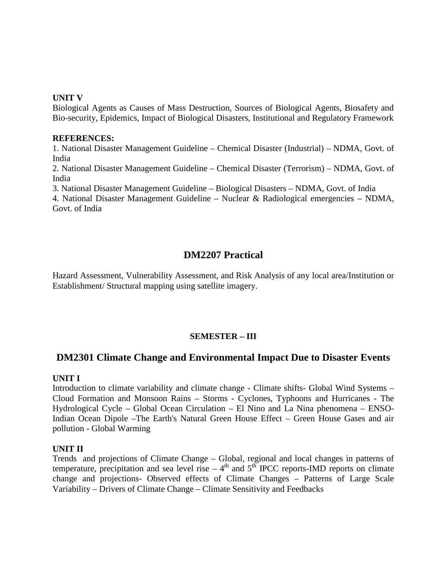#### **UNIT V**

Biological Agents as Causes of Mass Destruction, Sources of Biological Agents, Biosafety and Bio-security, Epidemics, Impact of Biological Disasters, Institutional and Regulatory Framework

#### **REFERENCES:**

1. National Disaster Management Guideline – Chemical Disaster (Industrial) – NDMA, Govt. of India

2. National Disaster Management Guideline – Chemical Disaster (Terrorism) – NDMA, Govt. of India

3. National Disaster Management Guideline – Biological Disasters – NDMA, Govt. of India

4. National Disaster Management Guideline – Nuclear & Radiological emergencies – NDMA, Govt. of India

# **DM2207 Practical**

Hazard Assessment, Vulnerability Assessment, and Risk Analysis of any local area/Institution or Establishment/ Structural mapping using satellite imagery.

## **SEMESTER – III**

## **DM2301 Climate Change and Environmental Impact Due to Disaster Events**

#### **UNIT I**

Introduction to climate variability and climate change - Climate shifts- Global Wind Systems – Cloud Formation and Monsoon Rains – Storms - Cyclones, Typhoons and Hurricanes - The Hydrological Cycle – Global Ocean Circulation – El Nino and La Nina phenomena – ENSO-Indian Ocean Dipole –The Earth's Natural Green House Effect – Green House Gases and air pollution - Global Warming

#### **UNIT II**

Trends and projections of Climate Change – Global, regional and local changes in patterns of temperature, precipitation and sea level rise  $-4<sup>th</sup>$  and  $5<sup>th</sup>$  IPCC reports-IMD reports on climate change and projections- Observed effects of Climate Changes – Patterns of Large Scale Variability – Drivers of Climate Change – Climate Sensitivity and Feedbacks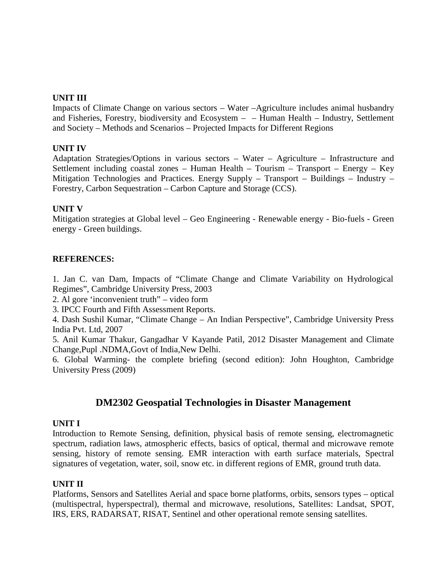## **UNIT III**

Impacts of Climate Change on various sectors – Water –Agriculture includes animal husbandry and Fisheries, Forestry, biodiversity and Ecosystem  $-$  – Human Health – Industry, Settlement and Society – Methods and Scenarios – Projected Impacts for Different Regions

### **UNIT IV**

Adaptation Strategies/Options in various sectors – Water – Agriculture – Infrastructure and Settlement including coastal zones – Human Health – Tourism – Transport – Energy – Key Mitigation Technologies and Practices. Energy Supply – Transport – Buildings – Industry – Forestry, Carbon Sequestration – Carbon Capture and Storage (CCS).

## **UNIT V**

Mitigation strategies at Global level – Geo Engineering - Renewable energy - Bio-fuels - Green energy - Green buildings.

## **REFERENCES:**

1. Jan C. van Dam, Impacts of "Climate Change and Climate Variability on Hydrological Regimes", Cambridge University Press, 2003

2. Al gore 'inconvenient truth" – video form

3. IPCC Fourth and Fifth Assessment Reports.

4. Dash Sushil Kumar, "Climate Change – An Indian Perspective", Cambridge University Press India Pvt. Ltd, 2007

5. Anil Kumar Thakur, Gangadhar V Kayande Patil, 2012 Disaster Management and Climate Change,Pupl .NDMA,Govt of India,New Delhi.

6. Global Warming- the complete briefing (second edition): John Houghton, Cambridge University Press (2009)

# **DM2302 Geospatial Technologies in Disaster Management**

#### **UNIT I**

Introduction to Remote Sensing, definition, physical basis of remote sensing, electromagnetic spectrum, radiation laws, atmospheric effects, basics of optical, thermal and microwave remote sensing, history of remote sensing. EMR interaction with earth surface materials, Spectral signatures of vegetation, water, soil, snow etc. in different regions of EMR, ground truth data.

#### **UNIT II**

Platforms, Sensors and Satellites Aerial and space borne platforms, orbits, sensors types – optical (multispectral, hyperspectral), thermal and microwave, resolutions, Satellites: Landsat, SPOT, IRS, ERS, RADARSAT, RISAT, Sentinel and other operational remote sensing satellites.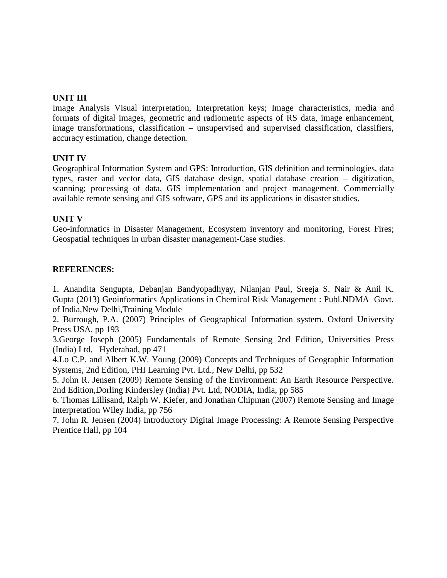### **UNIT III**

Image Analysis Visual interpretation, Interpretation keys; Image characteristics, media and formats of digital images, geometric and radiometric aspects of RS data, image enhancement, image transformations, classification – unsupervised and supervised classification, classifiers, accuracy estimation, change detection.

#### **UNIT IV**

Geographical Information System and GPS: Introduction, GIS definition and terminologies, data types, raster and vector data, GIS database design, spatial database creation – digitization, scanning; processing of data, GIS implementation and project management. Commercially available remote sensing and GIS software, GPS and its applications in disaster studies.

#### **UNIT V**

Geo-informatics in Disaster Management, Ecosystem inventory and monitoring, Forest Fires; Geospatial techniques in urban disaster management-Case studies.

## **REFERENCES:**

1. Anandita Sengupta, Debanjan Bandyopadhyay, Nilanjan Paul, Sreeja S. Nair & Anil K. Gupta (2013) Geoinformatics Applications in Chemical Risk Management : Publ.NDMA Govt. of India,New Delhi,Training Module

2. Burrough, P.A. (2007) Principles of Geographical Information system. Oxford University Press USA, pp 193

3.George Joseph (2005) Fundamentals of Remote Sensing 2nd Edition, Universities Press (India) Ltd, Hyderabad, pp 471

4.Lo C.P. and Albert K.W. Young (2009) Concepts and Techniques of Geographic Information Systems, 2nd Edition, PHI Learning Pvt. Ltd., New Delhi, pp 532

5. John R. Jensen (2009) Remote Sensing of the Environment: An Earth Resource Perspective. 2nd Edition,Dorling Kindersley (India) Pvt. Ltd, NODIA, India, pp 585

6. Thomas Lillisand, Ralph W. Kiefer, and Jonathan Chipman (2007) Remote Sensing and Image Interpretation Wiley India, pp 756

7. John R. Jensen (2004) Introductory Digital Image Processing: A Remote Sensing Perspective Prentice Hall, pp 104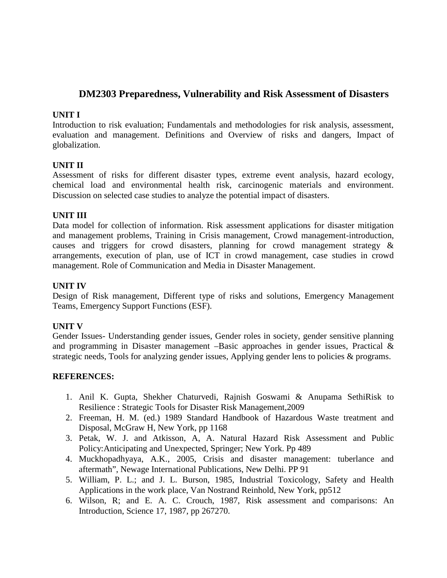# **DM2303 Preparedness, Vulnerability and Risk Assessment of Disasters**

### **UNIT I**

Introduction to risk evaluation; Fundamentals and methodologies for risk analysis, assessment, evaluation and management. Definitions and Overview of risks and dangers, Impact of globalization.

## **UNIT II**

Assessment of risks for different disaster types, extreme event analysis, hazard ecology, chemical load and environmental health risk, carcinogenic materials and environment. Discussion on selected case studies to analyze the potential impact of disasters.

## **UNIT III**

Data model for collection of information. Risk assessment applications for disaster mitigation and management problems, Training in Crisis management, Crowd management-introduction, causes and triggers for crowd disasters, planning for crowd management strategy & arrangements, execution of plan, use of ICT in crowd management, case studies in crowd management. Role of Communication and Media in Disaster Management.

### **UNIT IV**

Design of Risk management, Different type of risks and solutions, Emergency Management Teams, Emergency Support Functions (ESF).

#### **UNIT V**

Gender Issues- Understanding gender issues, Gender roles in society, gender sensitive planning and programming in Disaster management –Basic approaches in gender issues, Practical & strategic needs, Tools for analyzing gender issues, Applying gender lens to policies & programs.

#### **REFERENCES:**

- 1. Anil K. Gupta, Shekher Chaturvedi, Rajnish Goswami & Anupama SethiRisk to Resilience : Strategic Tools for Disaster Risk Management,2009
- 2. Freeman, H. M. (ed.) 1989 Standard Handbook of Hazardous Waste treatment and Disposal, McGraw H, New York, pp 1168
- 3. Petak, W. J. and Atkisson, A, A. Natural Hazard Risk Assessment and Public Policy:Anticipating and Unexpected, Springer; New York. Pp 489
- 4. Muckhopadhyaya, A.K., 2005, Crisis and disaster management: tuberlance and aftermath", Newage International Publications, New Delhi. PP 91
- 5. William, P. L.; and J. L. Burson, 1985, Industrial Toxicology, Safety and Health Applications in the work place, Van Nostrand Reinhold, New York, pp512
- 6. Wilson, R; and E. A. C. Crouch, 1987, Risk assessment and comparisons: An Introduction, Science 17, 1987, pp 267270.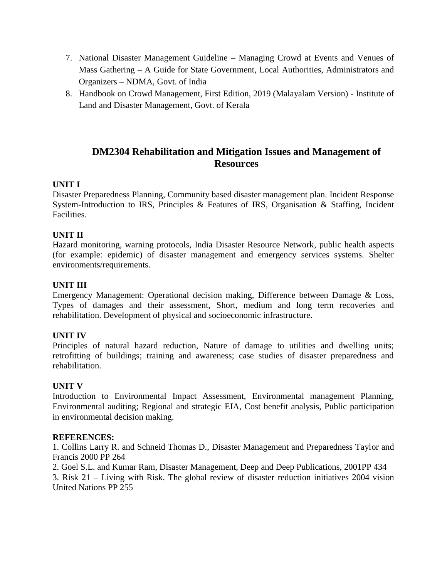- 7. National Disaster Management Guideline Managing Crowd at Events and Venues of Mass Gathering – A Guide for State Government, Local Authorities, Administrators and Organizers – NDMA, Govt. of India
- 8. Handbook on Crowd Management, First Edition, 2019 (Malayalam Version) Institute of Land and Disaster Management, Govt. of Kerala

# **DM2304 Rehabilitation and Mitigation Issues and Management of Resources**

## **UNIT I**

Disaster Preparedness Planning, Community based disaster management plan. Incident Response System-Introduction to IRS, Principles & Features of IRS, Organisation & Staffing, Incident Facilities.

## **UNIT II**

Hazard monitoring, warning protocols, India Disaster Resource Network, public health aspects (for example: epidemic) of disaster management and emergency services systems. Shelter environments/requirements.

## **UNIT III**

Emergency Management: Operational decision making, Difference between Damage & Loss, Types of damages and their assessment, Short, medium and long term recoveries and rehabilitation. Development of physical and socioeconomic infrastructure.

#### **UNIT IV**

Principles of natural hazard reduction, Nature of damage to utilities and dwelling units; retrofitting of buildings; training and awareness; case studies of disaster preparedness and rehabilitation.

#### **UNIT V**

Introduction to Environmental Impact Assessment, Environmental management Planning, Environmental auditing; Regional and strategic EIA, Cost benefit analysis, Public participation in environmental decision making.

#### **REFERENCES:**

1. Collins Larry R. and Schneid Thomas D., Disaster Management and Preparedness Taylor and Francis 2000 PP 264

2. Goel S.L. and Kumar Ram, Disaster Management, Deep and Deep Publications, 2001PP 434 3. Risk 21 – Living with Risk. The global review of disaster reduction initiatives 2004 vision United Nations PP 255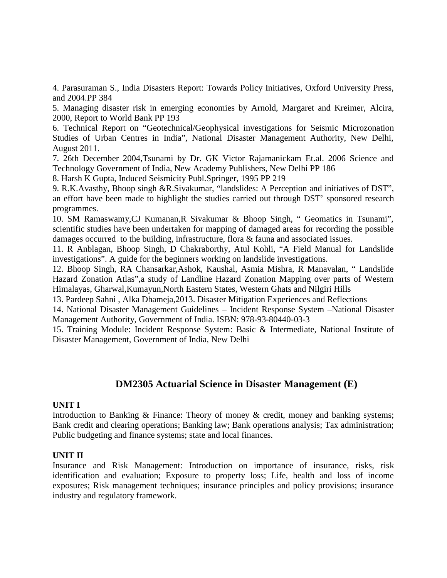4. Parasuraman S., India Disasters Report: Towards Policy Initiatives, Oxford University Press, and 2004.PP 384

5. Managing disaster risk in emerging economies by Arnold, Margaret and Kreimer, Alcira, 2000, Report to World Bank PP 193

6. Technical Report on "Geotechnical/Geophysical investigations for Seismic Microzonation Studies of Urban Centres in India", National Disaster Management Authority, New Delhi, August 2011.

7. 26th December 2004,Tsunami by Dr. GK Victor Rajamanickam Et.al. 2006 Science and Technology Government of India, New Academy Publishers, New Delhi PP 186

8. Harsh K Gupta, Induced Seismicity Publ.Springer, 1995 PP 219

9. R.K.Avasthy, Bhoop singh &R.Sivakumar, "landslides: A Perception and initiatives of DST", an effort have been made to highlight the studies carried out through DST' sponsored research programmes.

10. SM Ramaswamy,CJ Kumanan,R Sivakumar & Bhoop Singh, " Geomatics in Tsunami", scientific studies have been undertaken for mapping of damaged areas for recording the possible damages occurred to the building, infrastructure, flora & fauna and associated issues.

11. R Anblagan, Bhoop Singh, D Chakraborthy, Atul Kohli, "A Field Manual for Landslide investigations". A guide for the beginners working on landslide investigations.

12. Bhoop Singh, RA Chansarkar,Ashok, Kaushal, Asmia Mishra, R Manavalan, " Landslide Hazard Zonation Atlas",a study of Landline Hazard Zonation Mapping over parts of Western Himalayas, Gharwal,Kumayun,North Eastern States, Western Ghats and Nilgiri Hills

13. Pardeep Sahni , Alka Dhameja,2013. Disaster Mitigation Experiences and Reflections

14. National Disaster Management Guidelines – Incident Response System –National Disaster Management Authority, Government of India. ISBN: 978-93-80440-03-3

15. Training Module: Incident Response System: Basic & Intermediate, National Institute of Disaster Management, Government of India, New Delhi

# **DM2305 Actuarial Science in Disaster Management (E)**

#### **UNIT I**

Introduction to Banking & Finance: Theory of money & credit, money and banking systems; Bank credit and clearing operations; Banking law; Bank operations analysis; Tax administration; Public budgeting and finance systems; state and local finances.

## **UNIT II**

Insurance and Risk Management: Introduction on importance of insurance, risks, risk identification and evaluation; Exposure to property loss; Life, health and loss of income exposures; Risk management techniques; insurance principles and policy provisions; insurance industry and regulatory framework.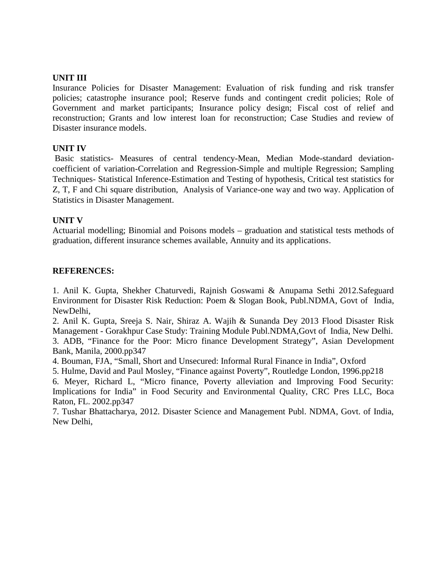#### **UNIT III**

Insurance Policies for Disaster Management: Evaluation of risk funding and risk transfer policies; catastrophe insurance pool; Reserve funds and contingent credit policies; Role of Government and market participants; Insurance policy design; Fiscal cost of relief and reconstruction; Grants and low interest loan for reconstruction; Case Studies and review of Disaster insurance models.

### **UNIT IV**

Basic statistics- Measures of central tendency-Mean, Median Mode-standard deviation coefficient of variation-Correlation and Regression-Simple and multiple Regression; Sampling Techniques- Statistical Inference-Estimation and Testing of hypothesis, Critical test statistics for Z, T, F and Chi square distribution, Analysis of Variance-one way and two way. Application of Statistics in Disaster Management.

#### **UNIT V**

Actuarial modelling; Binomial and Poisons models – graduation and statistical tests methods of graduation, different insurance schemes available, Annuity and its applications.

## **REFERENCES:**

1. Anil K. Gupta, Shekher Chaturvedi, Rajnish Goswami & Anupama Sethi 2012.Safeguard Environment for Disaster Risk Reduction: Poem & Slogan Book, Publ.NDMA, Govt of India, NewDelhi,

2. Anil K. Gupta, Sreeja S. Nair, Shiraz A. Wajih & Sunanda Dey 2013 Flood Disaster Risk Management - Gorakhpur Case Study: Training Module Publ.NDMA,Govt of India, New Delhi. 3. ADB, "Finance for the Poor: Micro finance Development Strategy", Asian Development Bank, Manila, 2000.pp347

4. Bouman, FJA, "Small, Short and Unsecured: Informal Rural Finance in India", Oxford

5. Hulme, David and Paul Mosley, "Finance against Poverty", Routledge London, 1996.pp218

6. Meyer, Richard L, "Micro finance, Poverty alleviation and Improving Food Security: Implications for India" in Food Security and Environmental Quality, CRC Pres LLC, Boca Raton, FL. 2002.pp347

7. Tushar Bhattacharya, 2012. Disaster Science and Management Publ. NDMA, Govt. of India, New Delhi,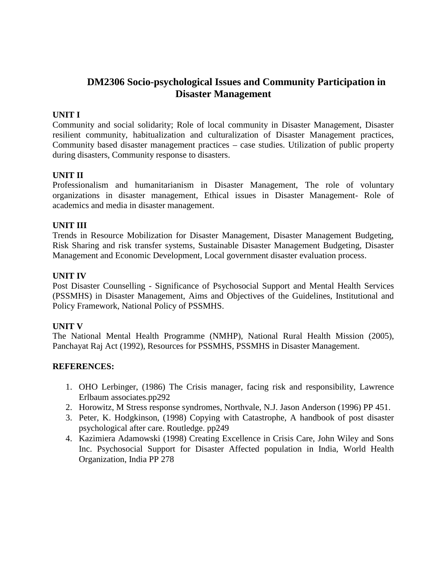# **DM2306 Socio-psychological Issues and Community Participation in Disaster Management**

## **UNIT I**

Community and social solidarity; Role of local community in Disaster Management, Disaster resilient community, habitualization and culturalization of Disaster Management practices, Community based disaster management practices – case studies. Utilization of public property during disasters, Community response to disasters.

## **UNIT II**

Professionalism and humanitarianism in Disaster Management, The role of voluntary organizations in disaster management, Ethical issues in Disaster Management- Role of academics and media in disaster management.

#### **UNIT III**

Trends in Resource Mobilization for Disaster Management, Disaster Management Budgeting, Risk Sharing and risk transfer systems, Sustainable Disaster Management Budgeting, Disaster Management and Economic Development, Local government disaster evaluation process.

#### **UNIT IV**

Post Disaster Counselling - Significance of Psychosocial Support and Mental Health Services (PSSMHS) in Disaster Management, Aims and Objectives of the Guidelines, Institutional and Policy Framework, National Policy of PSSMHS.

#### **UNIT V**

The National Mental Health Programme (NMHP), National Rural Health Mission (2005), Panchayat Raj Act (1992), Resources for PSSMHS, PSSMHS in Disaster Management.

#### **REFERENCES:**

- 1. OHO Lerbinger, (1986) The Crisis manager, facing risk and responsibility, Lawrence Erlbaum associates.pp292
- 2. Horowitz, M Stress response syndromes, Northvale, N.J. Jason Anderson (1996) PP 451.
- 3. Peter, K. Hodgkinson, (1998) Copying with Catastrophe, A handbook of post disaster psychological after care. Routledge. pp249
- 4. Kazimiera Adamowski (1998) Creating Excellence in Crisis Care, John Wiley and Sons Inc. Psychosocial Support for Disaster Affected population in India, World Health Organization, India PP 278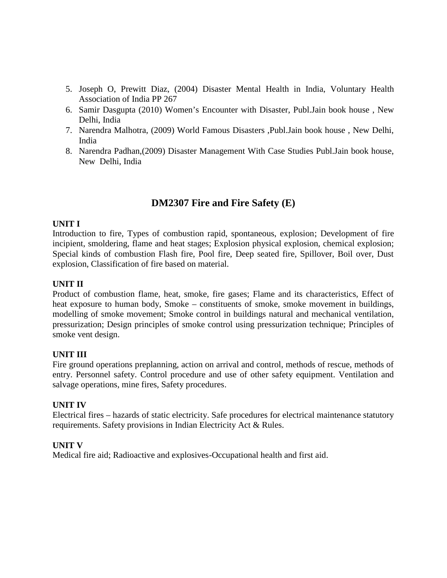- 5. Joseph O, Prewitt Diaz, (2004) Disaster Mental Health in India, Voluntary Health Association of India PP 267
- 6. Samir Dasgupta (2010) Women's Encounter with Disaster, Publ.Jain book house , New Delhi, India
- 7. Narendra Malhotra, (2009) World Famous Disasters ,Publ.Jain book house , New Delhi, India
- 8. Narendra Padhan,(2009) Disaster Management With Case Studies Publ.Jain book house, New Delhi, India

# **DM2307 Fire and Fire Safety (E)**

## **UNIT I**

Introduction to fire, Types of combustion rapid, spontaneous, explosion; Development of fire incipient, smoldering, flame and heat stages; Explosion physical explosion, chemical explosion; Special kinds of combustion Flash fire, Pool fire, Deep seated fire, Spillover, Boil over, Dust explosion, Classification of fire based on material.

## **UNIT II**

Product of combustion flame, heat, smoke, fire gases; Flame and its characteristics, Effect of heat exposure to human body, Smoke – constituents of smoke, smoke movement in buildings, modelling of smoke movement; Smoke control in buildings natural and mechanical ventilation, pressurization; Design principles of smoke control using pressurization technique; Principles of smoke vent design.

#### **UNIT III**

Fire ground operations preplanning, action on arrival and control, methods of rescue, methods of entry. Personnel safety. Control procedure and use of other safety equipment. Ventilation and salvage operations, mine fires, Safety procedures.

#### **UNIT IV**

Electrical fires – hazards of static electricity. Safe procedures for electrical maintenance statutory requirements. Safety provisions in Indian Electricity Act & Rules.

## **UNIT V**

Medical fire aid; Radioactive and explosives-Occupational health and first aid.